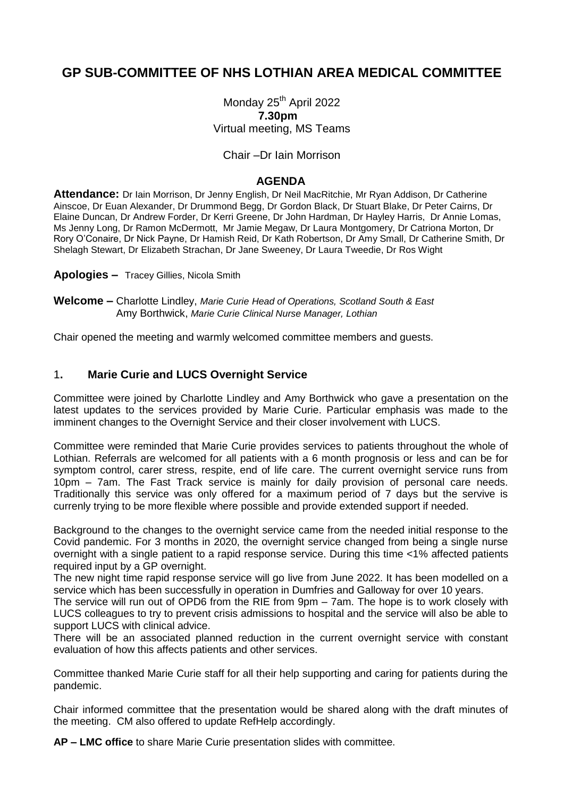# **GP SUB-COMMITTEE OF NHS LOTHIAN AREA MEDICAL COMMITTEE**

Monday 25<sup>th</sup> April 2022 **7.30pm** Virtual meeting, MS Teams

### Chair –Dr Iain Morrison

#### **AGENDA**

**Attendance:** Dr Iain Morrison, Dr Jenny English, Dr Neil MacRitchie, Mr Ryan Addison, Dr Catherine Ainscoe, Dr Euan Alexander, Dr Drummond Begg, Dr Gordon Black, Dr Stuart Blake, Dr Peter Cairns, Dr Elaine Duncan, Dr Andrew Forder, Dr Kerri Greene, Dr John Hardman, Dr Hayley Harris, Dr Annie Lomas, Ms Jenny Long, Dr Ramon McDermott, Mr Jamie Megaw, Dr Laura Montgomery, Dr Catriona Morton, Dr Rory O'Conaire, Dr Nick Payne, Dr Hamish Reid, Dr Kath Robertson, Dr Amy Small, Dr Catherine Smith, Dr Shelagh Stewart, Dr Elizabeth Strachan, Dr Jane Sweeney, Dr Laura Tweedie, Dr Ros Wight

**Apologies –** Tracey Gillies, Nicola Smith

**Welcome –** Charlotte Lindley, *Marie Curie Head of Operations, Scotland South & East* Amy Borthwick, *Marie Curie Clinical Nurse Manager, Lothian*

Chair opened the meeting and warmly welcomed committee members and guests.

## 1**. Marie Curie and LUCS Overnight Service**

Committee were joined by Charlotte Lindley and Amy Borthwick who gave a presentation on the latest updates to the services provided by Marie Curie. Particular emphasis was made to the imminent changes to the Overnight Service and their closer involvement with LUCS.

Committee were reminded that Marie Curie provides services to patients throughout the whole of Lothian. Referrals are welcomed for all patients with a 6 month prognosis or less and can be for symptom control, carer stress, respite, end of life care. The current overnight service runs from 10pm – 7am. The Fast Track service is mainly for daily provision of personal care needs. Traditionally this service was only offered for a maximum period of 7 days but the servive is currenly trying to be more flexible where possible and provide extended support if needed.

Background to the changes to the overnight service came from the needed initial response to the Covid pandemic. For 3 months in 2020, the overnight service changed from being a single nurse overnight with a single patient to a rapid response service. During this time <1% affected patients required input by a GP overnight.

The new night time rapid response service will go live from June 2022. It has been modelled on a service which has been successfully in operation in Dumfries and Galloway for over 10 years.

The service will run out of OPD6 from the RIE from 9pm – 7am. The hope is to work closely with LUCS colleagues to try to prevent crisis admissions to hospital and the service will also be able to support LUCS with clinical advice.

There will be an associated planned reduction in the current overnight service with constant evaluation of how this affects patients and other services.

Committee thanked Marie Curie staff for all their help supporting and caring for patients during the pandemic.

Chair informed committee that the presentation would be shared along with the draft minutes of the meeting. CM also offered to update RefHelp accordingly.

**AP – LMC office** to share Marie Curie presentation slides with committee.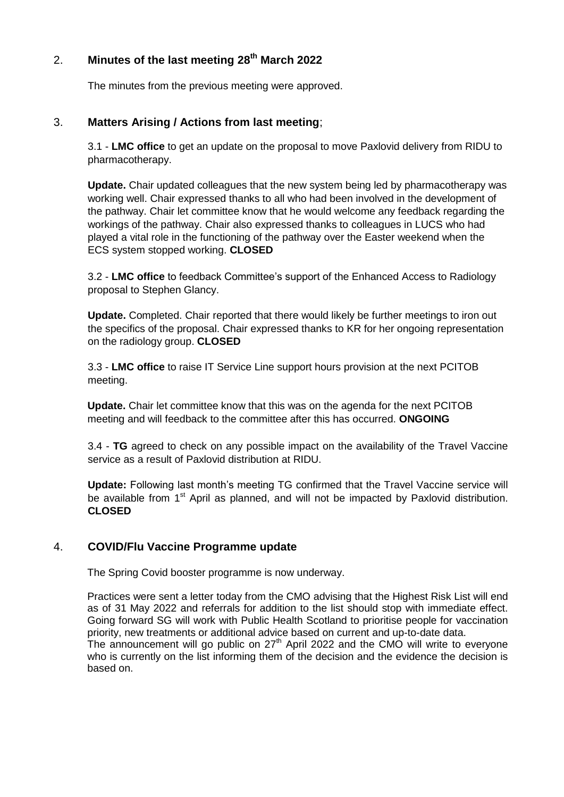# 2. **Minutes of the last meeting 28th March 2022**

The minutes from the previous meeting were approved.

## 3. **Matters Arising / Actions from last meeting**;

3.1 - **LMC office** to get an update on the proposal to move Paxlovid delivery from RIDU to pharmacotherapy.

**Update.** Chair updated colleagues that the new system being led by pharmacotherapy was working well. Chair expressed thanks to all who had been involved in the development of the pathway. Chair let committee know that he would welcome any feedback regarding the workings of the pathway. Chair also expressed thanks to colleagues in LUCS who had played a vital role in the functioning of the pathway over the Easter weekend when the ECS system stopped working. **CLOSED**

3.2 - **LMC office** to feedback Committee's support of the Enhanced Access to Radiology proposal to Stephen Glancy.

**Update.** Completed. Chair reported that there would likely be further meetings to iron out the specifics of the proposal. Chair expressed thanks to KR for her ongoing representation on the radiology group. **CLOSED**

3.3 - **LMC office** to raise IT Service Line support hours provision at the next PCITOB meeting.

**Update.** Chair let committee know that this was on the agenda for the next PCITOB meeting and will feedback to the committee after this has occurred. **ONGOING**

3.4 - **TG** agreed to check on any possible impact on the availability of the Travel Vaccine service as a result of Paxlovid distribution at RIDU.

**Update:** Following last month's meeting TG confirmed that the Travel Vaccine service will be available from 1<sup>st</sup> April as planned, and will not be impacted by Paxlovid distribution. **CLOSED**

## 4. **COVID/Flu Vaccine Programme update**

The Spring Covid booster programme is now underway.

Practices were sent a letter today from the CMO advising that the Highest Risk List will end as of 31 May 2022 and referrals for addition to the list should stop with immediate effect. Going forward SG will work with Public Health Scotland to prioritise people for vaccination priority, new treatments or additional advice based on current and up-to-date data. The announcement will go public on  $27<sup>th</sup>$  April 2022 and the CMO will write to everyone who is currently on the list informing them of the decision and the evidence the decision is based on.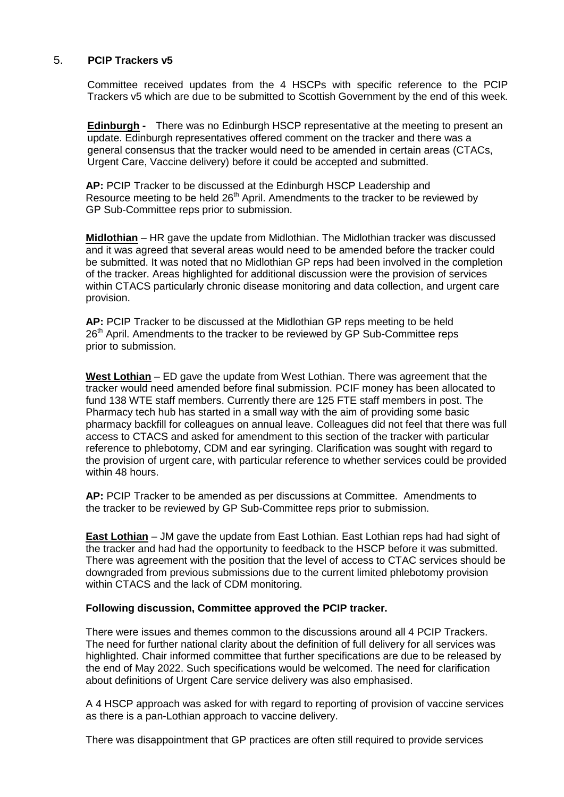## 5. **PCIP Trackers v5**

Committee received updates from the 4 HSCPs with specific reference to the PCIP Trackers v5 which are due to be submitted to Scottish Government by the end of this week*.* 

**Edinburgh -** There was no Edinburgh HSCP representative at the meeting to present an update. Edinburgh representatives offered comment on the tracker and there was a general consensus that the tracker would need to be amended in certain areas (CTACs, Urgent Care, Vaccine delivery) before it could be accepted and submitted.

**AP:** PCIP Tracker to be discussed at the Edinburgh HSCP Leadership and Resource meeting to be held 26<sup>th</sup> April. Amendments to the tracker to be reviewed by GP Sub-Committee reps prior to submission.

**Midlothian** – HR gave the update from Midlothian. The Midlothian tracker was discussed and it was agreed that several areas would need to be amended before the tracker could be submitted. It was noted that no Midlothian GP reps had been involved in the completion of the tracker. Areas highlighted for additional discussion were the provision of services within CTACS particularly chronic disease monitoring and data collection, and urgent care provision.

**AP:** PCIP Tracker to be discussed at the Midlothian GP reps meeting to be held 26<sup>th</sup> April. Amendments to the tracker to be reviewed by GP Sub-Committee reps prior to submission.

**West Lothian** – ED gave the update from West Lothian. There was agreement that the tracker would need amended before final submission. PCIF money has been allocated to fund 138 WTE staff members. Currently there are 125 FTE staff members in post. The Pharmacy tech hub has started in a small way with the aim of providing some basic pharmacy backfill for colleagues on annual leave. Colleagues did not feel that there was full access to CTACS and asked for amendment to this section of the tracker with particular reference to phlebotomy, CDM and ear syringing. Clarification was sought with regard to the provision of urgent care, with particular reference to whether services could be provided within 48 hours.

**AP:** PCIP Tracker to be amended as per discussions at Committee. Amendments to the tracker to be reviewed by GP Sub-Committee reps prior to submission.

**East Lothian** – JM gave the update from East Lothian. East Lothian reps had had sight of the tracker and had had the opportunity to feedback to the HSCP before it was submitted. There was agreement with the position that the level of access to CTAC services should be downgraded from previous submissions due to the current limited phlebotomy provision within CTACS and the lack of CDM monitoring.

#### **Following discussion, Committee approved the PCIP tracker.**

There were issues and themes common to the discussions around all 4 PCIP Trackers. The need for further national clarity about the definition of full delivery for all services was highlighted. Chair informed committee that further specifications are due to be released by the end of May 2022. Such specifications would be welcomed. The need for clarification about definitions of Urgent Care service delivery was also emphasised.

A 4 HSCP approach was asked for with regard to reporting of provision of vaccine services as there is a pan-Lothian approach to vaccine delivery.

There was disappointment that GP practices are often still required to provide services